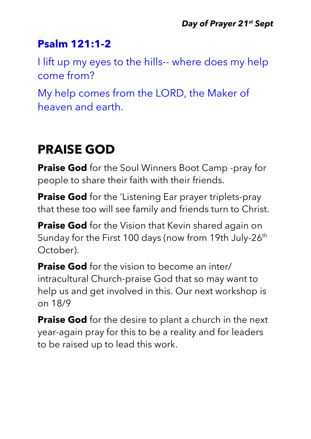### **Psalm 121:1-2**

I lift up my eyes to the hills-- where does my help come from?

My help comes from the LORD, the Maker of heaven and earth.

### **PRAISE GOD**

**Praise God** for the Soul Winners Boot Camp -pray for people to share their faith with their friends.

**Praise God** for the 'Listening Ear prayer triplets-pray that these too will see family and friends turn to Christ.

**Praise God** for the Vision that Kevin shared again on Sunday for the First 100 days (now from 19th July-26<sup>th</sup> October).

**Praise God** for the vision to become an inter/ intracultural Church-praise God that so may want to help us and get involved in this. Our next workshop is on 18/9

**Praise God** for the desire to plant a church in the next year-again pray for this to be a reality and for leaders to be raised up to lead this work.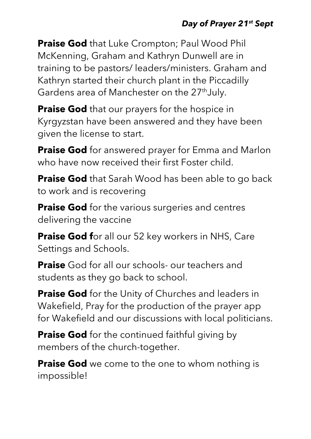#### *Day of Prayer 21st Sept*

**Praise God** that Luke Crompton; Paul Wood Phil McKenning, Graham and Kathryn Dunwell are in training to be pastors/ leaders/ministers. Graham and Kathryn started their church plant in the Piccadilly Gardens area of Manchester on the 27<sup>th</sup>July.

**Praise God** that our prayers for the hospice in Kyrgyzstan have been answered and they have been given the license to start.

**Praise God** for answered prayer for Emma and Marlon who have now received their first Foster child.

**Praise God** that Sarah Wood has been able to go back to work and is recovering

**Praise God** for the various surgeries and centres delivering the vaccine

**Praise God f**or all our 52 key workers in NHS, Care Settings and Schools.

**Praise** God for all our schools- our teachers and students as they go back to school.

**Praise God** for the Unity of Churches and leaders in Wakefield, Pray for the production of the prayer app for Wakefield and our discussions with local politicians.

**Praise God** for the continued faithful giving by members of the church-together.

**Praise God** we come to the one to whom nothing is impossible!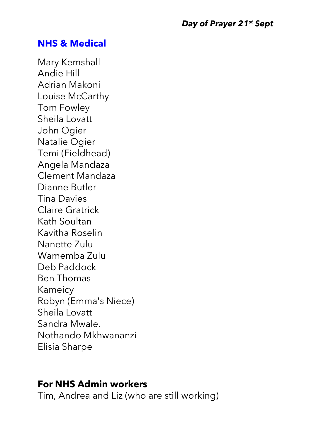#### **NHS & Medical**

Mary Kemshall Andie Hill Adrian Makoni Louise McCarthy Tom Fowley Sheila Lovatt John Ogier Natalie Ogier Temi (Fieldhead) Angela Mandaza Clement Mandaza Dianne Butler Tina Davies Claire Gratrick Kath Soultan Kavitha Roselin Nanette Zulu Wamemba Zulu Deb Paddock Ben Thomas Kameicy Robyn (Emma's Niece) Sheila Lovatt Sandra Mwale. Nothando Mkhwananzi Elisia Sharpe

#### **For NHS Admin workers**

Tim, Andrea and Liz (who are still working)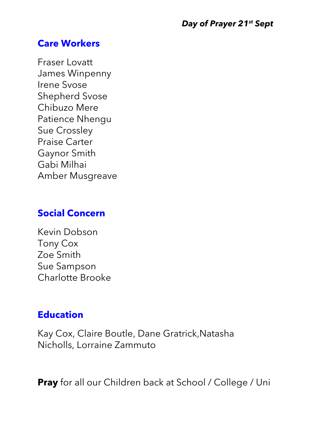#### **Care Workers**

Fraser Lovatt James Winpenny Irene Svose Shepherd Svose Chibuzo Mere Patience Nhengu Sue Crossley Praise Carter Gaynor Smith Gabi Milhai Amber Musgreave

#### **Social Concern**

Kevin Dobson Tony Cox Zoe Smith Sue Sampson Charlotte Brooke

### **Education**

Kay Cox, Claire Boutle, Dane Gratrick,Natasha Nicholls, Lorraine Zammuto

**Pray** for all our Children back at School / College / Uni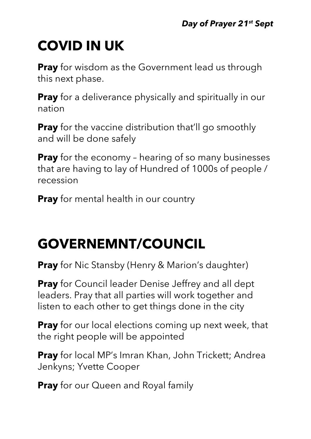# **COVID IN UK**

**Pray** for wisdom as the Government lead us through this next phase.

**Pray** for a deliverance physically and spiritually in our nation

**Pray** for the vaccine distribution that'll go smoothly and will be done safely

**Pray** for the economy - hearing of so many businesses that are having to lay of Hundred of 1000s of people / recession

**Pray** for mental health in our country

## **GOVERNEMNT/COUNCIL**

**Pray** for Nic Stansby (Henry & Marion's daughter)

**Pray** for Council leader Denise Jeffrey and all dept leaders. Pray that all parties will work together and listen to each other to get things done in the city

**Pray** for our local elections coming up next week, that the right people will be appointed

**Pray** for local MP's Imran Khan, John Trickett; Andrea Jenkyns; Yvette Cooper

**Pray** for our Queen and Royal family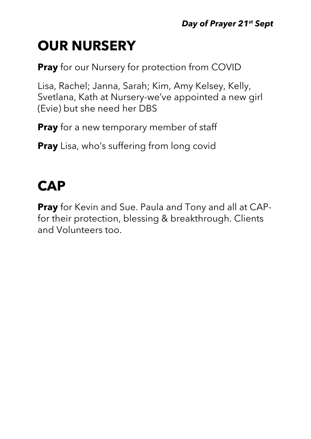## **OUR NURSERY**

**Pray** for our Nursery for protection from COVID

Lisa, Rachel; Janna, Sarah; Kim, Amy Kelsey, Kelly, Svetlana, Kath at Nursery-we've appointed a new girl (Evie) but she need her DBS

**Pray** for a new temporary member of staff

**Pray** Lisa, who's suffering from long covid

### **CAP**

**Pray** for Kevin and Sue. Paula and Tony and all at CAPfor their protection, blessing & breakthrough. Clients and Volunteers too.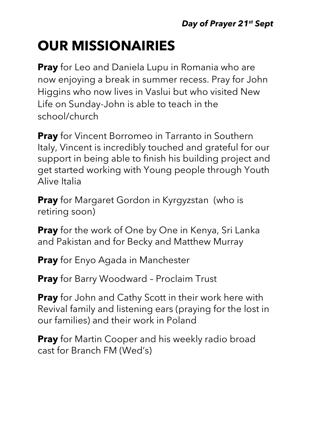### **OUR MISSIONAIRIES**

**Pray** for Leo and Daniela Lupu in Romania who are now enjoying a break in summer recess. Pray for John Higgins who now lives in Vaslui but who visited New Life on Sunday-John is able to teach in the school/church

**Pray** for Vincent Borromeo in Tarranto in Southern Italy, Vincent is incredibly touched and grateful for our support in being able to finish his building project and get started working with Young people through Youth Alive Italia

**Pray** for Margaret Gordon in Kyrgyzstan (who is retiring soon)

**Pray** for the work of One by One in Kenya, Sri Lanka and Pakistan and for Becky and Matthew Murray

**Pray** for Enyo Agada in Manchester

**Pray** for Barry Woodward – Proclaim Trust

**Pray** for John and Cathy Scott in their work here with Revival family and listening ears (praying for the lost in our families) and their work in Poland

**Pray** for Martin Cooper and his weekly radio broad cast for Branch FM (Wed's)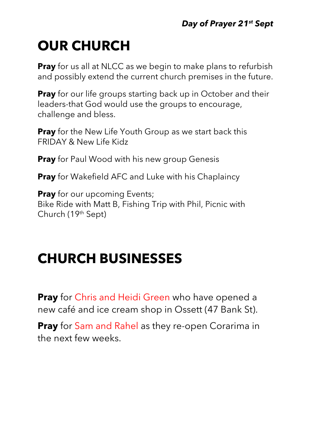## **OUR CHURCH**

**Pray** for us all at NLCC as we begin to make plans to refurbish and possibly extend the current church premises in the future.

**Pray** for our life groups starting back up in October and their leaders-that God would use the groups to encourage, challenge and bless.

**Pray** for the New Life Youth Group as we start back this FRIDAY & New Life Kidz

**Pray** for Paul Wood with his new group Genesis

**Pray** for Wakefield AFC and Luke with his Chaplaincy

**Pray** for our upcoming Events; Bike Ride with Matt B, Fishing Trip with Phil, Picnic with Church (19th Sept)

### **CHURCH BUSINESSES**

**Pray** for Chris and Heidi Green who have opened a new café and ice cream shop in Ossett (47 Bank St).

**Pray** for Sam and Rahel as they re-open Corarima in the next few weeks.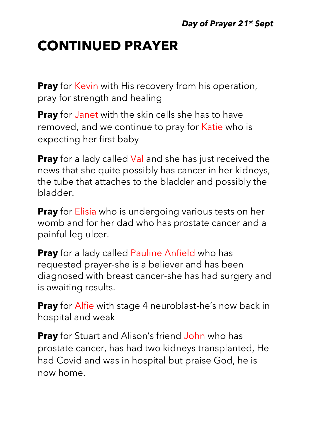### **CONTINUED PRAYER**

**Pray** for Kevin with His recovery from his operation, pray for strength and healing

**Pray** for Janet with the skin cells she has to have removed, and we continue to pray for Katie who is expecting her first baby

**Pray** for a lady called Val and she has just received the news that she quite possibly has cancer in her kidneys, the tube that attaches to the bladder and possibly the bladder.

**Pray** for Elisia who is undergoing various tests on her womb and for her dad who has prostate cancer and a painful leg ulcer.

**Pray** for a lady called Pauline Anfield who has requested prayer-she is a believer and has been diagnosed with breast cancer-she has had surgery and is awaiting results.

**Pray** for Alfie with stage 4 neuroblast-he's now back in hospital and weak

**Pray** for Stuart and Alison's friend John who has prostate cancer, has had two kidneys transplanted, He had Covid and was in hospital but praise God, he is now home.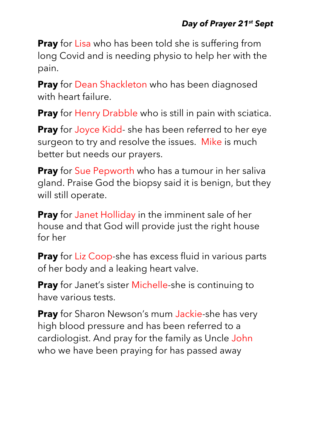**Pray** for Lisa who has been told she is suffering from long Covid and is needing physio to help her with the pain.

**Pray** for Dean Shackleton who has been diagnosed with heart failure.

**Pray** for Henry Drabble who is still in pain with sciatica.

**Pray** for Joyce Kidd- she has been referred to her eye surgeon to try and resolve the issues. Mike is much better but needs our prayers.

**Pray** for Sue Pepworth who has a tumour in her saliva gland. Praise God the biopsy said it is benign, but they will still operate.

**Pray** for Janet Holliday in the imminent sale of her house and that God will provide just the right house for her

**Pray** for Liz Coop-she has excess fluid in various parts of her body and a leaking heart valve.

**Pray** for Janet's sister Michelle-she is continuing to have various tests.

**Pray** for Sharon Newson's mum Jackie-she has very high blood pressure and has been referred to a cardiologist. And pray for the family as Uncle John who we have been praying for has passed away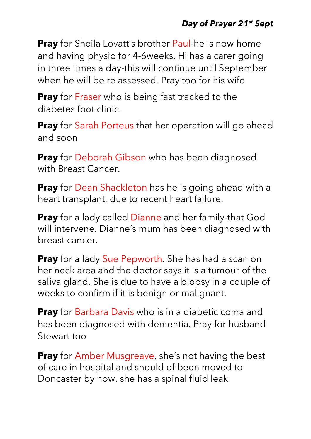#### *Day of Prayer 21st Sept*

**Pray** for Sheila Lovatt's brother Paul-he is now home and having physio for 4-6weeks. Hi has a carer going in three times a day-this will continue until September when he will be re assessed. Pray too for his wife

**Pray** for Fraser who is being fast tracked to the diabetes foot clinic.

**Pray** for Sarah Porteus that her operation will go ahead and soon

**Pray** for Deborah Gibson who has been diagnosed with Breast Cancer.

**Pray** for Dean Shackleton has he is going ahead with a heart transplant, due to recent heart failure.

**Pray** for a lady called Dianne and her family-that God will intervene. Dianne's mum has been diagnosed with breast cancer.

**Pray** for a lady Sue Pepworth. She has had a scan on her neck area and the doctor says it is a tumour of the saliva gland. She is due to have a biopsy in a couple of weeks to confirm if it is benign or malignant.

**Pray** for Barbara Davis who is in a diabetic coma and has been diagnosed with dementia. Pray for husband Stewart too

**Pray** for Amber Musgreave, she's not having the best of care in hospital and should of been moved to Doncaster by now. she has a spinal fluid leak